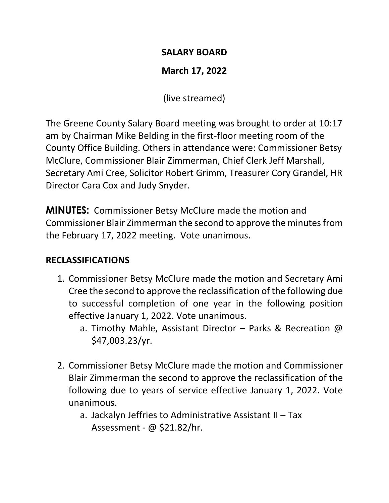### **SALARY BOARD**

# **March 17, 2022**

(live streamed)

The Greene County Salary Board meeting was brought to order at 10:17 am by Chairman Mike Belding in the first-floor meeting room of the County Office Building. Others in attendance were: Commissioner Betsy McClure, Commissioner Blair Zimmerman, Chief Clerk Jeff Marshall, Secretary Ami Cree, Solicitor Robert Grimm, Treasurer Cory Grandel, HR Director Cara Cox and Judy Snyder.

**MINUTES:** Commissioner Betsy McClure made the motion and Commissioner Blair Zimmerman the second to approve the minutes from the February 17, 2022 meeting. Vote unanimous.

## **RECLASSIFICATIONS**

- 1. Commissioner Betsy McClure made the motion and Secretary Ami Cree the second to approve the reclassification of the following due to successful completion of one year in the following position effective January 1, 2022. Vote unanimous.
	- a. Timothy Mahle, Assistant Director Parks & Recreation @ \$47,003.23/yr.
- 2. Commissioner Betsy McClure made the motion and Commissioner Blair Zimmerman the second to approve the reclassification of the following due to years of service effective January 1, 2022. Vote unanimous.
	- a. Jackalyn Jeffries to Administrative Assistant II Tax Assessment - @ \$21.82/hr.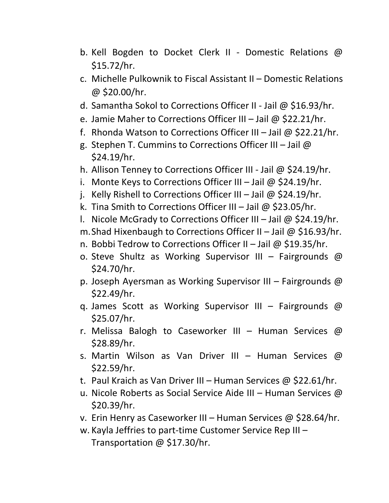- b. Kell Bogden to Docket Clerk II Domestic Relations @ \$15.72/hr.
- c. Michelle Pulkownik to Fiscal Assistant II Domestic Relations @ \$20.00/hr.
- d. Samantha Sokol to Corrections Officer II Jail @ \$16.93/hr.
- e. Jamie Maher to Corrections Officer III Jail @ \$22.21/hr.
- f. Rhonda Watson to Corrections Officer III Jail @ \$22.21/hr.
- g. Stephen T. Cummins to Corrections Officer III Jail @ \$24.19/hr.
- h. Allison Tenney to Corrections Officer III Jail @ \$24.19/hr.
- i. Monte Keys to Corrections Officer III Jail  $\omega$  \$24.19/hr.
- j. Kelly Rishell to Corrections Officer III Jail @ \$24.19/hr.
- k. Tina Smith to Corrections Officer III Jail @ \$23.05/hr.
- l. Nicole McGrady to Corrections Officer III Jail @ \$24.19/hr.
- m. Shad Hixenbaugh to Corrections Officer II Jail @  $$16.93/hr$ .
- n. Bobbi Tedrow to Corrections Officer II Jail @ \$19.35/hr.
- o. Steve Shultz as Working Supervisor III Fairgrounds @ \$24.70/hr.
- p. Joseph Ayersman as Working Supervisor III Fairgrounds @ \$22.49/hr.
- q. James Scott as Working Supervisor III Fairgrounds @ \$25.07/hr.
- r. Melissa Balogh to Caseworker III Human Services  $\omega$ \$28.89/hr.
- s. Martin Wilson as Van Driver III Human Services @ \$22.59/hr.
- t. Paul Kraich as Van Driver III Human Services @ \$22.61/hr.
- u. Nicole Roberts as Social Service Aide III Human Services @ \$20.39/hr.
- v. Erin Henry as Caseworker III Human Services @ \$28.64/hr.
- w. Kayla Jeffries to part-time Customer Service Rep III Transportation @ \$17.30/hr.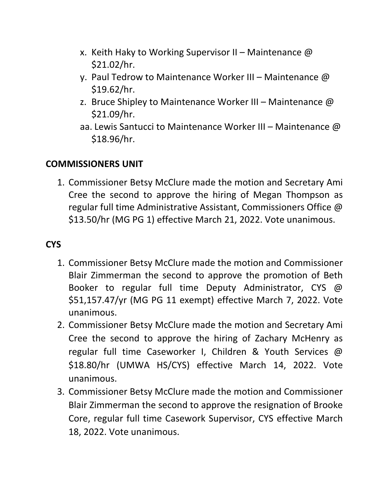- x. Keith Haky to Working Supervisor II Maintenance  $\omega$ \$21.02/hr.
- y. Paul Tedrow to Maintenance Worker III Maintenance  $\omega$ \$19.62/hr.
- z. Bruce Shipley to Maintenance Worker III Maintenance  $\omega$ \$21.09/hr.
- aa. Lewis Santucci to Maintenance Worker III Maintenance @ \$18.96/hr.

## **COMMISSIONERS UNIT**

1. Commissioner Betsy McClure made the motion and Secretary Ami Cree the second to approve the hiring of Megan Thompson as regular full time Administrative Assistant, Commissioners Office @ \$13.50/hr (MG PG 1) effective March 21, 2022. Vote unanimous.

## **CYS**

- 1. Commissioner Betsy McClure made the motion and Commissioner Blair Zimmerman the second to approve the promotion of Beth Booker to regular full time Deputy Administrator, CYS @ \$51,157.47/yr (MG PG 11 exempt) effective March 7, 2022. Vote unanimous.
- 2. Commissioner Betsy McClure made the motion and Secretary Ami Cree the second to approve the hiring of Zachary McHenry as regular full time Caseworker I, Children & Youth Services @ \$18.80/hr (UMWA HS/CYS) effective March 14, 2022. Vote unanimous.
- 3. Commissioner Betsy McClure made the motion and Commissioner Blair Zimmerman the second to approve the resignation of Brooke Core, regular full time Casework Supervisor, CYS effective March 18, 2022. Vote unanimous.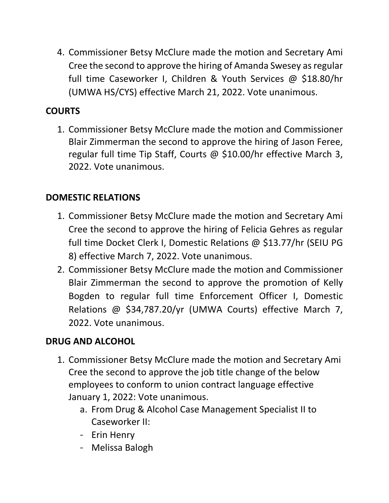4. Commissioner Betsy McClure made the motion and Secretary Ami Cree the second to approve the hiring of Amanda Swesey as regular full time Caseworker I, Children & Youth Services @ \$18.80/hr (UMWA HS/CYS) effective March 21, 2022. Vote unanimous.

### **COURTS**

1. Commissioner Betsy McClure made the motion and Commissioner Blair Zimmerman the second to approve the hiring of Jason Feree, regular full time Tip Staff, Courts @ \$10.00/hr effective March 3, 2022. Vote unanimous.

## **DOMESTIC RELATIONS**

- 1. Commissioner Betsy McClure made the motion and Secretary Ami Cree the second to approve the hiring of Felicia Gehres as regular full time Docket Clerk I, Domestic Relations @ \$13.77/hr (SEIU PG 8) effective March 7, 2022. Vote unanimous.
- 2. Commissioner Betsy McClure made the motion and Commissioner Blair Zimmerman the second to approve the promotion of Kelly Bogden to regular full time Enforcement Officer I, Domestic Relations @ \$34,787.20/yr (UMWA Courts) effective March 7, 2022. Vote unanimous.

### **DRUG AND ALCOHOL**

- 1. Commissioner Betsy McClure made the motion and Secretary Ami Cree the second to approve the job title change of the below employees to conform to union contract language effective January 1, 2022: Vote unanimous.
	- a. From Drug & Alcohol Case Management Specialist II to Caseworker II:
	- Erin Henry
	- Melissa Balogh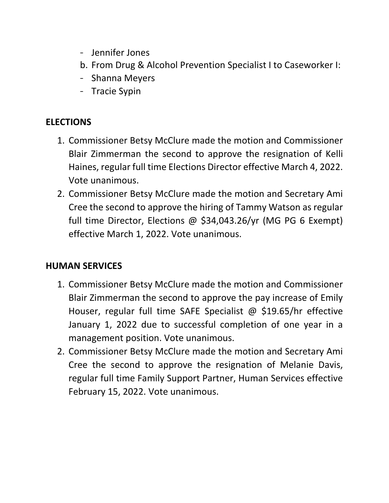- Jennifer Jones
- b. From Drug & Alcohol Prevention Specialist I to Caseworker I:
- Shanna Meyers
- Tracie Sypin

### **ELECTIONS**

- 1. Commissioner Betsy McClure made the motion and Commissioner Blair Zimmerman the second to approve the resignation of Kelli Haines, regular full time Elections Director effective March 4, 2022. Vote unanimous.
- 2. Commissioner Betsy McClure made the motion and Secretary Ami Cree the second to approve the hiring of Tammy Watson as regular full time Director, Elections @ \$34,043.26/yr (MG PG 6 Exempt) effective March 1, 2022. Vote unanimous.

## **HUMAN SERVICES**

- 1. Commissioner Betsy McClure made the motion and Commissioner Blair Zimmerman the second to approve the pay increase of Emily Houser, regular full time SAFE Specialist @ \$19.65/hr effective January 1, 2022 due to successful completion of one year in a management position. Vote unanimous.
- 2. Commissioner Betsy McClure made the motion and Secretary Ami Cree the second to approve the resignation of Melanie Davis, regular full time Family Support Partner, Human Services effective February 15, 2022. Vote unanimous.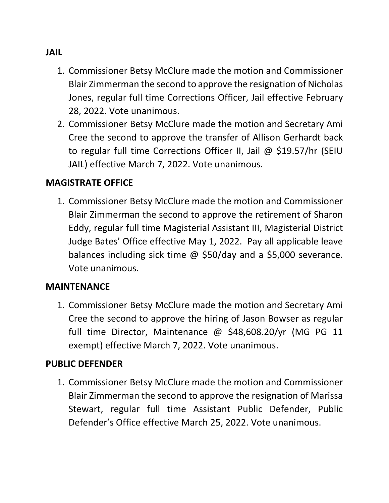#### **JAIL**

- 1. Commissioner Betsy McClure made the motion and Commissioner Blair Zimmerman the second to approve the resignation of Nicholas Jones, regular full time Corrections Officer, Jail effective February 28, 2022. Vote unanimous.
- 2. Commissioner Betsy McClure made the motion and Secretary Ami Cree the second to approve the transfer of Allison Gerhardt back to regular full time Corrections Officer II, Jail @ \$19.57/hr (SEIU JAIL) effective March 7, 2022. Vote unanimous.

#### **MAGISTRATE OFFICE**

1. Commissioner Betsy McClure made the motion and Commissioner Blair Zimmerman the second to approve the retirement of Sharon Eddy, regular full time Magisterial Assistant III, Magisterial District Judge Bates' Office effective May 1, 2022. Pay all applicable leave balances including sick time @ \$50/day and a \$5,000 severance. Vote unanimous.

#### **MAINTENANCE**

1. Commissioner Betsy McClure made the motion and Secretary Ami Cree the second to approve the hiring of Jason Bowser as regular full time Director, Maintenance @ \$48,608.20/yr (MG PG 11 exempt) effective March 7, 2022. Vote unanimous.

### **PUBLIC DEFENDER**

1. Commissioner Betsy McClure made the motion and Commissioner Blair Zimmerman the second to approve the resignation of Marissa Stewart, regular full time Assistant Public Defender, Public Defender's Office effective March 25, 2022. Vote unanimous.